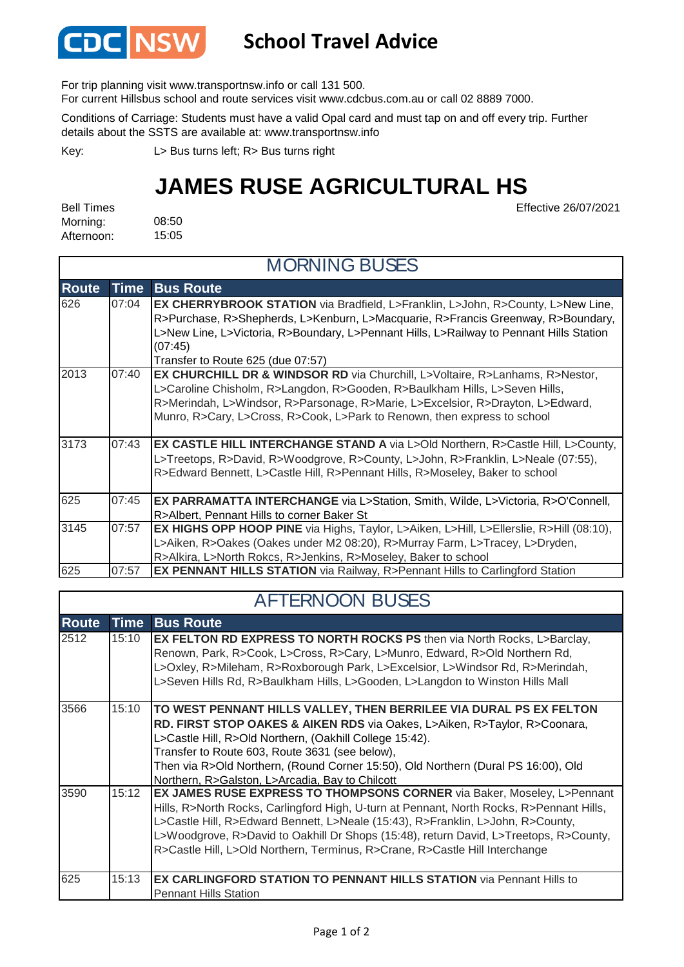

## **School Travel Advice**

For trip planning visit www.transportnsw.info or call 131 500.

For current Hillsbus school and route services visit www.cdcbus.com.au or call 02 8889 7000.

Conditions of Carriage: Students must have a valid Opal card and must tap on and off every trip. Further details about the SSTS are available at: www.transportnsw.info

L> Bus turns left; R> Bus turns right Key:

## **JAMES RUSE AGRICULTURAL HS**

Effective 26/07/2021

08:50 15:05 Bell Times Morning: Afternoon:

| <b>MORNING BUSES</b> |             |                                                                                                 |  |  |
|----------------------|-------------|-------------------------------------------------------------------------------------------------|--|--|
| <b>Route</b>         | <b>Time</b> | <b>Bus Route</b>                                                                                |  |  |
| 626                  | 07:04       | <b>EX CHERRYBROOK STATION</b> via Bradfield, L>Franklin, L>John, R>County, L>New Line,          |  |  |
|                      |             | R>Purchase, R>Shepherds, L>Kenburn, L>Macquarie, R>Francis Greenway, R>Boundary,                |  |  |
|                      |             | L>New Line, L>Victoria, R>Boundary, L>Pennant Hills, L>Railway to Pennant Hills Station         |  |  |
|                      |             | (07:45)                                                                                         |  |  |
|                      |             | Transfer to Route 625 (due 07:57)                                                               |  |  |
| 2013                 | 07:40       | <b>EX CHURCHILL DR &amp; WINDSOR RD</b> via Churchill, L>Voltaire, R>Lanhams, R>Nestor,         |  |  |
|                      |             | L>Caroline Chisholm, R>Langdon, R>Gooden, R>Baulkham Hills, L>Seven Hills,                      |  |  |
|                      |             | R>Merindah, L>Windsor, R>Parsonage, R>Marie, L>Excelsior, R>Drayton, L>Edward,                  |  |  |
|                      |             | Munro, R>Cary, L>Cross, R>Cook, L>Park to Renown, then express to school                        |  |  |
| 3173                 | 07:43       | <b>EX CASTLE HILL INTERCHANGE STAND A via L&gt;Old Northern, R&gt;Castle Hill, L&gt;County,</b> |  |  |
|                      |             | L>Treetops, R>David, R>Woodgrove, R>County, L>John, R>Franklin, L>Neale (07:55),                |  |  |
|                      |             | R>Edward Bennett, L>Castle Hill, R>Pennant Hills, R>Moseley, Baker to school                    |  |  |
| 625                  | 07:45       | EX PARRAMATTA INTERCHANGE via L>Station, Smith, Wilde, L>Victoria, R>O'Connell,                 |  |  |
|                      |             | R>Albert, Pennant Hills to corner Baker St                                                      |  |  |
| 3145                 | 07:57       | <b>EX HIGHS OPP HOOP PINE</b> via Highs, Taylor, L>Aiken, L>Hill, L>Ellerslie, R>Hill (08:10),  |  |  |
|                      |             | L>Aiken, R>Oakes (Oakes under M2 08:20), R>Murray Farm, L>Tracey, L>Dryden,                     |  |  |
|                      |             | R>Alkira, L>North Rokcs, R>Jenkins, R>Moseley, Baker to school                                  |  |  |
| 625                  | 07:57       | <b>EX PENNANT HILLS STATION</b> via Railway, R>Pennant Hills to Carlingford Station             |  |  |

## AFTERNOON BUSES

| <b>Route</b> | <b>Time</b> | <b>Bus Route</b>                                                                                                                                                                                                                                                                                                                                                                                                               |  |  |  |
|--------------|-------------|--------------------------------------------------------------------------------------------------------------------------------------------------------------------------------------------------------------------------------------------------------------------------------------------------------------------------------------------------------------------------------------------------------------------------------|--|--|--|
| 2512         | 15:10       | <b>EX FELTON RD EXPRESS TO NORTH ROCKS PS then via North Rocks, L&gt;Barclay,</b><br>Renown, Park, R>Cook, L>Cross, R>Cary, L>Munro, Edward, R>Old Northern Rd,<br>L>Oxley, R>Mileham, R>Roxborough Park, L>Excelsior, L>Windsor Rd, R>Merindah,<br>L>Seven Hills Rd, R>Baulkham Hills, L>Gooden, L>Langdon to Winston Hills Mall                                                                                              |  |  |  |
| 3566         | 15:10       | TO WEST PENNANT HILLS VALLEY, THEN BERRILEE VIA DURAL PS EX FELTON<br>RD. FIRST STOP OAKES & AIKEN RDS via Oakes, L>Aiken, R>Taylor, R>Coonara,<br>L>Castle Hill, R>Old Northern, (Oakhill College 15:42).<br>Transfer to Route 603, Route 3631 (see below),<br>Then via R>Old Northern, (Round Corner 15:50), Old Northern (Dural PS 16:00), Old<br>Northern, R>Galston, L>Arcadia, Bay to Chilcott                           |  |  |  |
| 3590         | 15:12       | EX JAMES RUSE EXPRESS TO THOMPSONS CORNER via Baker, Moseley, L>Pennant<br>Hills, R>North Rocks, Carlingford High, U-turn at Pennant, North Rocks, R>Pennant Hills,<br>L>Castle Hill, R>Edward Bennett, L>Neale (15:43), R>Franklin, L>John, R>County,<br>L>Woodgrove, R>David to Oakhill Dr Shops (15:48), return David, L>Treetops, R>County,<br>R>Castle Hill, L>Old Northern, Terminus, R>Crane, R>Castle Hill Interchange |  |  |  |
| 625          | 15:13       | <b>EX CARLINGFORD STATION TO PENNANT HILLS STATION</b> via Pennant Hills to<br><b>Pennant Hills Station</b>                                                                                                                                                                                                                                                                                                                    |  |  |  |